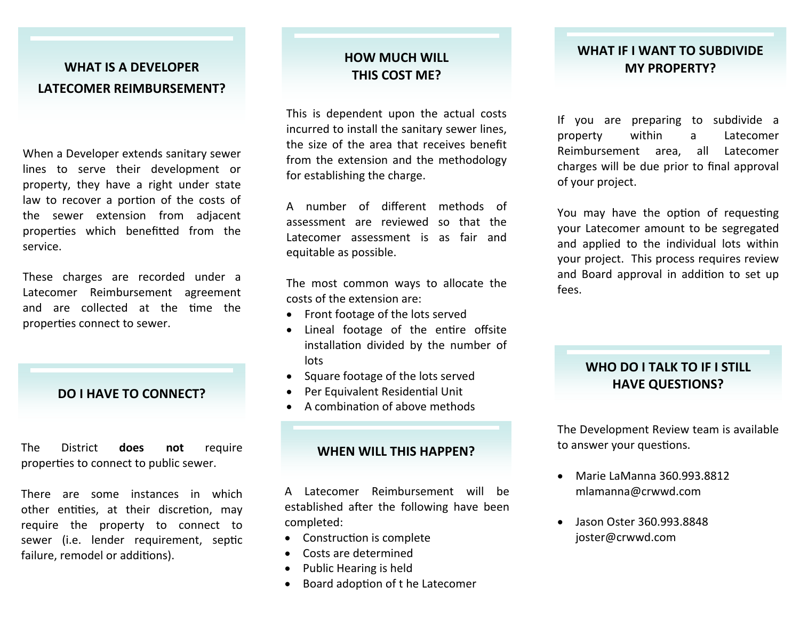## **WHAT IS A DEVELOPER LATECOMER REIMBURSEMENT?**

When a Developer extends sanitary sewer lines to serve their development or property, they have a right under state law to recover a portion of the costs of the sewer extension from adjacent properties which benefitted from the service.

These charges are recorded under a Latecomer Reimbursement agreement and are collected at the time the properties connect to sewer.

### **DO I HAVE TO CONNECT?**

The District **does not** require properties to connect to public sewer.

There are some instances in which other entities, at their discretion, may require the property to connect to sewer (i.e. lender requirement, septic failure, remodel or additions).

## **HOW MUCH WILL THIS COST ME?**

This is dependent upon the actual costs incurred to install the sanitary sewer lines, the size of the area that receives benefit from the extension and the methodology for establishing the charge.

A number of different methods of assessment are reviewed so that the Latecomer assessment is as fair and equitable as possible.

The most common ways to allocate the costs of the extension are:

- Front footage of the lots served
- Lineal footage of the entire offsite installation divided by the number of lots
- Square footage of the lots served
- $\bullet$ Per Equivalent Residential Unit
- $\bullet$ A combination of above methods

#### **WHEN WILL THIS HAPPEN?**

A Latecomer Reimbursement will be established after the following have been completed:

- Construction is complete
- $\bullet$ Costs are determined
- $\bullet$ Public Hearing is held
- $\bullet$ Board adoption of t he Latecomer

## **WHAT IF I WANT TO SUBDIVIDE MY PROPERTY?**

If you are preparing to subdivide a property within a Latecomer Reimbursement area, all Latecomer charges will be due prior to final approval of your project.

You may have the option of requesting your Latecomer amount to be segregated and applied to the individual lots within your project. This process requires review and Board approval in addition to set up fees.

## **WHO DO I TALK TO IF I STILL HAVE QUESTIONS?**

The Development Review team is available to answer your questions.

- Marie LaManna 360.993.8812 mlamanna@crwwd.com
- Jason Oster 360.993.8848 joster@crwwd.com